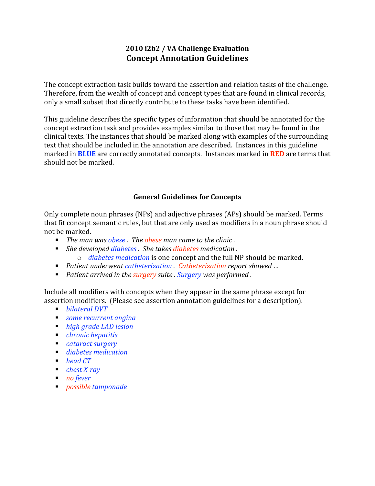# **2010
i2b2
/
VA
Challenge
Evaluation Concept
Annotation
Guidelines**

The
concept
extraction
task
builds
toward
the
assertion
and
relation
tasks
of
the
challenge. Therefore, from the wealth of concept and concept types that are found in clinical records, only
a
small
subset
that
directly
contribute
to
these
tasks
have
been
identified.

This
guideline
describes
the
specific
types
of
information
that
should
be
annotated
for
the concept
extraction
task
and
provides
examples
similar
to
those
that
may
be
found
in
the clinical
texts.
The
instances
that
should
be
marked
along
with
examples
of
the
surrounding text that should be included in the annotation are described. Instances in this guideline marked in **BLUE** are correctly annotated concepts. Instances marked in **RED** are terms that should
not
be
marked.

## **General
Guidelines
for
Concepts**

Only
complete
noun
phrases
(NPs)
and
adjective
phrases
(APs)
should
be
marked.
Terms that fit concept semantic rules, but that are only used as modifiers in a noun phrase should not
be
marked.

- The man was obese *.* The obese man came to the clinic.
- She developed diabetes. She takes diabetes medication.
	- o *diabetes
	medication*is
	one
	concept
	and
	the
	full
	NP
	should
	be
	marked.
- Patient underwent catheterization. Catheterization report showed ...
- Patient arrived in the surgery suite . Surgery was performed.

Include all modifiers with concepts when they appear in the same phrase except for assertion
modifiers.

(Please
see
assertion
annotation
guidelines
for
a
description).

- *bilateral
DVT*
- *some
recurrent
angina*
- *high
grade
LAD
lesion*
- *chronic
hepatitis*
- *cataract
surgery*
- *diabetes
medication*
- *head* CT
- *chest X-ray*
- *no fever*
- *possible
tamponade*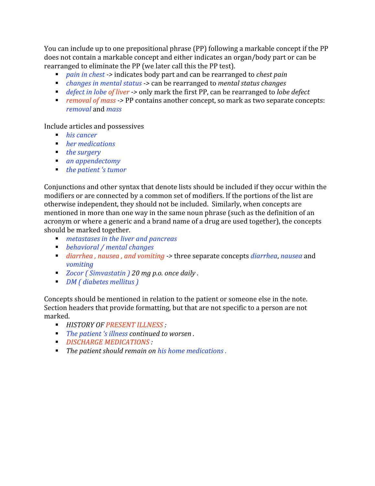You can include up to one prepositional phrase (PP) following a markable concept if the PP does
not
contain
a
markable
concept
and
either
indicates
an
organ/body
part
or
can
be rearranged to eliminate the PP (we later call this the PP test).

- *pain in chest ->* indicates body part and can be rearranged to *chest pain*
- *changes in mental status ->* can be rearranged to *mental status changes*
- *defect in lobe of liver* -> only mark the first PP, can be rearranged to *lobe defect*
- *removal of mass* → PP contains another concept, so mark as two separate concepts: *removal*and *mass*

Include
articles
and
possessives

- *his cancer*
- *her medications*
- *the surgery*
- *an
appendectomy*
- *the patient 's tumor*

Conjunctions and other syntax that denote lists should be included if they occur within the modifiers or are connected by a common set of modifiers. If the portions of the list are otherwise
independent,
they
should
not
be
included.

Similarly,
when
concepts
are mentioned
in
more
than
one
way
in
the
same
noun
phrase
(such
as
the
definition
of
an acronym
or
where
a
generic
and
a
brand
name
of
a
drug
are
used
together),
the
concepts should
be
marked
together.

- *metastases
in
the
liver
and
pancreas*
- *behavioral
/
mental
changes*
- *diarrhea, nausea, and vomiting* -> three separate concepts *diarrhea, nausea* and *vomiting*
- *Zocor* (Simvastatin) 20 mg p.o. once daily.
- *DM
(
diabetes
mellitus
)*

Concepts should be mentioned in relation to the patient or someone else in the note. Section headers that provide formatting, but that are not specific to a person are not marked.

- **HISTORY OF PRESENT ILLNESS**
- The patient 's illness continued to worsen.
- *DISCHARGE
MEDICATIONS
:*
- The patient should remain on his home medications.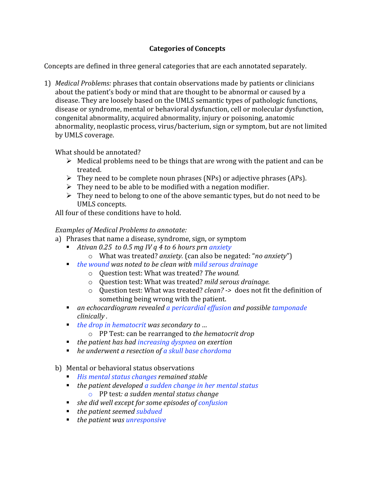## **Categories
of
Concepts**

Concepts are
defined
in
three
general
categories
that
are
each
annotated
separately.

1) Medical Problems: phrases that contain observations made by patients or clinicians about the patient's body or mind that are thought to be abnormal or caused by a disease.
They
are
loosely
based
on
the
UMLS
semantic
types
of
pathologic
functions, disease
or
syndrome,
mental
or
behavioral
dysfunction,
cell
or
molecular
dysfunction, congenital
abnormality,
acquired
abnormality,
injury
or
poisoning,
anatomic abnormality,
neoplastic
process,
virus/bacterium,
sign
or
symptom,
but
are
not
limited by
UMLS
coverage.

What
should
be
annotated?

- $\triangleright$  Medical problems need to be things that are wrong with the patient and can be treated.
- > They need to be complete noun phrases (NPs) or adjective phrases (APs).
- $\triangleright$  They need to be able to be modified with a negation modifier.
- $\triangleright$  They need to belong to one of the above semantic types, but do not need to be UMLS
concepts.

All
four
of
these
conditions
have
to
hold.

## *Examples
of
Medical
Problems
to
annotate:*

- a) Phrases
that
name
a
disease,
syndrome,
sign,
or
symptom
	- *Ativan 0.25 to 0.5 mg IV q 4 to 6 hours prn anxiety* 
		- o What
		was
		treated?*anxiety.* (can
		also
		be
		negated:
		"*no
		anxiety*")
	- *the wound was noted to be clean with mild serous drainage* 
		- o Question
		test:
		What
		was
		treated? *The
		wound.*
		- o Question
		test:
		What
		was
		treated? *mild
		serous
		drainage.*
		- o Question test: What was treated? *clean?* -> does not fit the definition of something
		being
		wrong
		with
		the
		patient.
	- an echocardiogram revealed a pericardial effusion and possible tamponade *clinically
	.*
	- *the drop in hematocrit was secondary to ...* 
		- o PP
		Test:
		can
		be
		rearranged
		to *the
		hematocrit
		drop*
	- the patient has had increasing dyspnea on exertion
	- *he underwent a resection of a skull base chordoma*
- b) Mental or behavioral status observations
	- His mental status changes remained stable
	- the patient developed a sudden change in her mental status o PP
	test*:
	a
	sudden
	mental
	status
	change*
	- *she did well except for some episodes of confusion*
	- the patient seemed **subdued**
	- the patient was unresponsive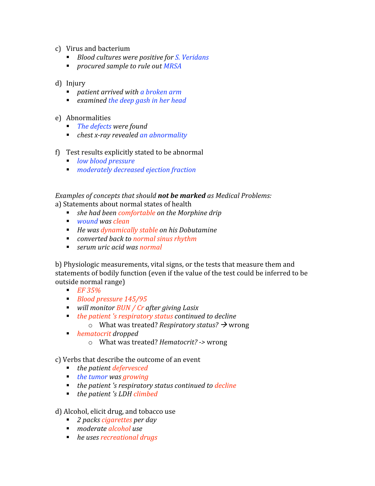- c) Virus
and
bacterium
	- *Blood cultures were positive for S. Veridans*
	- *procured sample to rule out MRSA*

#### d) Injury

- *patient arrived with a broken arm*
- *examined
the
deep
gash
in
her
head*
- e) Abnormalities
	- The defects were found
	- *chest x-ray revealed an abnormality*
- f) Test
results
explicitly
stated
to
be
abnormal
	- *low
	blood
	pressure*
	- *moderately
	decreased
	ejection
	fraction*

# *Examples
of
concepts
that
should not
be
markedas
Medical
Problems:*

a)
Statements
about
normal
states
of
health

- *she had been comfortable on the Morphine drip*
- *wound was clean*
- He was dynamically stable on his Dobutamine
- *converted back to normal sinus rhythm*
- *serum uric acid was normal*

b) Physiologic measurements, vital signs, or the tests that measure them and statements of bodily function (even if the value of the test could be inferred to be outside
normal
range)

- *EF
35%*
- *Blood
pressure
145/95*
- *will monitor BUN / Cr after giving Lasix*
- the patient 's respiratory status continued to decline
	- o What was treated? *Respiratory status?* → wrong
- *hematocrit dropped*
	- o What
	was
	treated?*Hematocrit? >* wrong

c)
Verbs
that
describe
the
outcome
of
an
event

- *the patient defervesced*
- *the tumor was growing*
- the patient 's respiratory status continued to decline
- *the patient 's LDH climbed*

#### d)
Alcohol,
elicit
drug,
and
tobacco
use

- 2 packs cigarettes per day
- *moderate
alcohol
use*
- *he uses recreational drugs*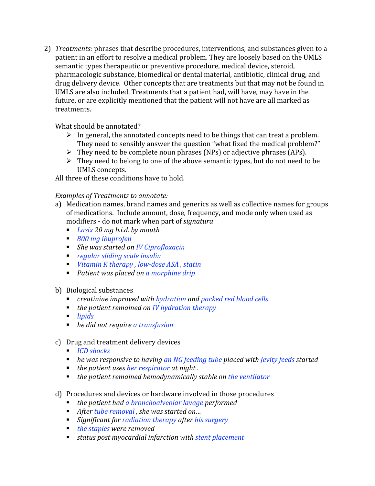2) *Treatments:* phrases that describe procedures, interventions, and substances given to a patient in an effort to resolve a medical problem. They are loosely based on the UMLS semantic
types
therapeutic
or
preventive
procedure,
medical
device,
steroid, pharmacologic
substance,
biomedical
or
dental
material,
antibiotic,
clinical
drug,
and drug delivery device. Other concepts that are treatments but that may not be found in UMLS are also included. Treatments that a patient had, will have, may have in the future, or are explicitly mentioned that the patient will not have are all marked as treatments.

What should be annotated?

- $\triangleright$  In general, the annotated concepts need to be things that can treat a problem. They
need
to
sensibly
answer
the
question
"what
fixed
the
medical
problem?"
- > They need to be complete noun phrases (NPs) or adjective phrases (APs).
- $\triangleright$  They need to belong to one of the above semantic types, but do not need to be UMLS
concepts.

All three of these conditions have to hold.

## *Examples
of
Treatments
to
annotate:*

- a) Medication names, brand names and generics as well as collective names for groups of
medications.

Include
amount,
dose,
frequency,
and
mode
only
when
used
as modifiers
‐
do
not
mark
when
part
of *signatura*
	- *Lasix 20 mg b.i.d. by mouth*
	- *800
	mg
	ibuprofen*
	- *She was started on IV Ciprofloxacin*
	- *regular
	sliding
	scale
	insulin*
	- *Vitamin K therapy, low-dose ASA, statin*
	- *Patient was placed on a morphine drip*

## b) Biological
substances

- *creatinine improved with hydration and packed red blood cells*
- *the patient remained on IV hydration therapy*
- *lipids*
- *he did not require a transfusion*

## c) Drug
and
treatment
delivery
devices

- *ICD* shocks
- *he was responsive to having an NG feeding tube placed with Jevity feeds started*
- the patient uses her respirator at night.
- the patient remained hemodynamically stable on the ventilator
- d) Procedures
and
devices
or
hardware
involved
in
those
procedures
	- *the
	patient
	had
	a
	bronchoalveolar
	lavage performed*
	- After tube removal, she was started on...
	- *Significant for radiation therapy after his surgery*
	- the staples were removed
	- status post myocardial infarction with stent placement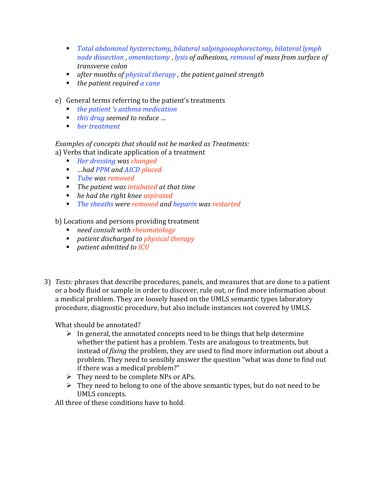- *Total
abdominal
hysterectomy,
bilateral
salpingooophorectomy,
bilateral
lymph node
dissection* ,*omentectomy* ,*lysis
of
adhesions,
removal
of
mass
from
surface
of transverse
colon*
- *after months of physical therapy, the patient gained strength*
- *the patient required a cane*
- e) General
terms
referring
to
the
patient's
treatments
	- *the patient 's asthma medication*
	- *this drug seemed to reduce ...*
	- *her treatment*

*Examples
of
concepts
that
should
not
be
marked
as
Treatments:* a)
Verbs
that
indicate
application
of
a
treatment

- *Her
dressing
was
changed*
- *…had PPM and AICD placed*
- *Tube
was
removed*
- The patient was intubated at that time
- *he had the right knee aspirated*
- The sheaths were removed and heparin was restarted

b)
Locations
and
persons
providing
treatment

- *need consult with rheumatology*
- *patient discharged to physical therapy*
- *patient admitted to ICU*
- 3) *Tests:* phrases
that
describe
procedures,
panels,
and
measures
that
are
done
to
a
patient or a body fluid or sample in order to discover, rule out, or find more information about a
medical
problem.
They
are
loosely
based
on
the
UMLS
semantic
types
laboratory procedure, diagnostic procedure, but also include instances not covered by UMLS.

What
should
be
annotated?

- $\triangleright$  In general, the annotated concepts need to be things that help determine whether the patient has a problem. Tests are analogous to treatments, but instead of *fixing* the problem, they are used to find more information out about a problem.
They
need
to
sensibly
answer
the
question
"what
was
done
to
find
out if
there
was
a
medical
problem?"
- $\triangleright$  They need to be complete NPs or APs.
- $\triangleright$  They need to belong to one of the above semantic types, but do not need to be UMLS
concepts.

All three of these conditions have to hold.